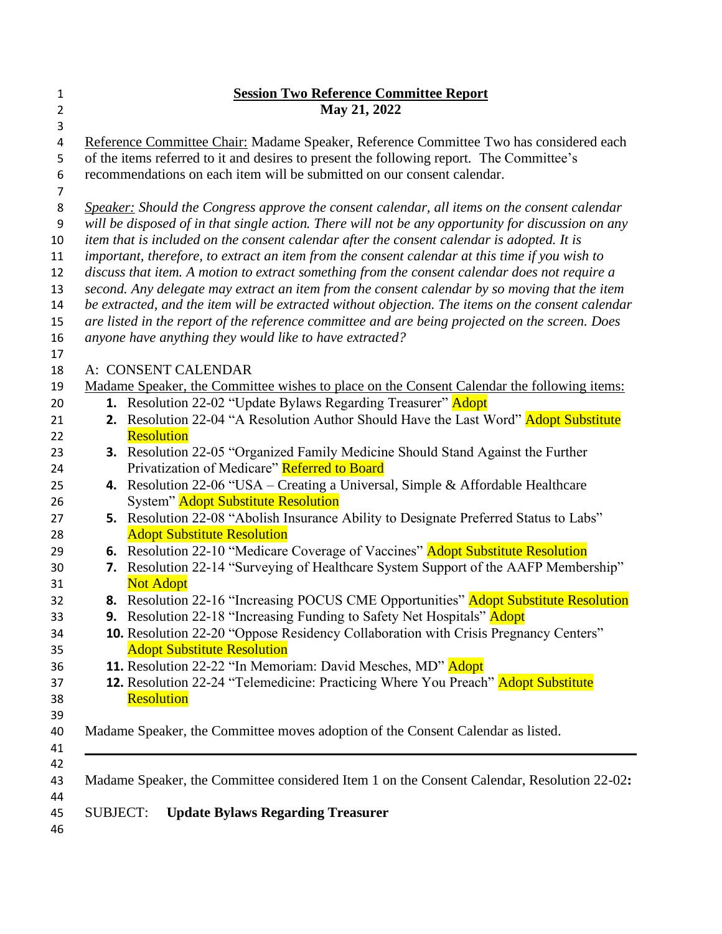| 1              | <b>Session Two Reference Committee Report</b>                                                      |                                                                                                                                                            |  |  |  |  |
|----------------|----------------------------------------------------------------------------------------------------|------------------------------------------------------------------------------------------------------------------------------------------------------------|--|--|--|--|
| $\overline{2}$ | May 21, 2022                                                                                       |                                                                                                                                                            |  |  |  |  |
| 3              |                                                                                                    |                                                                                                                                                            |  |  |  |  |
| 4              |                                                                                                    | Reference Committee Chair: Madame Speaker, Reference Committee Two has considered each                                                                     |  |  |  |  |
| 5              |                                                                                                    | of the items referred to it and desires to present the following report. The Committee's                                                                   |  |  |  |  |
| 6              |                                                                                                    | recommendations on each item will be submitted on our consent calendar.                                                                                    |  |  |  |  |
| 7              |                                                                                                    |                                                                                                                                                            |  |  |  |  |
| 8              | Speaker: Should the Congress approve the consent calendar, all items on the consent calendar       |                                                                                                                                                            |  |  |  |  |
| 9              | will be disposed of in that single action. There will not be any opportunity for discussion on any |                                                                                                                                                            |  |  |  |  |
| 10             |                                                                                                    | item that is included on the consent calendar after the consent calendar is adopted. It is                                                                 |  |  |  |  |
| 11             | important, therefore, to extract an item from the consent calendar at this time if you wish to     |                                                                                                                                                            |  |  |  |  |
| 12             |                                                                                                    | discuss that item. A motion to extract something from the consent calendar does not require a                                                              |  |  |  |  |
| 13             |                                                                                                    | second. Any delegate may extract an item from the consent calendar by so moving that the item                                                              |  |  |  |  |
| 14<br>15       | be extracted, and the item will be extracted without objection. The items on the consent calendar  |                                                                                                                                                            |  |  |  |  |
| 16             |                                                                                                    | are listed in the report of the reference committee and are being projected on the screen. Does<br>anyone have anything they would like to have extracted? |  |  |  |  |
| 17             |                                                                                                    |                                                                                                                                                            |  |  |  |  |
| 18             |                                                                                                    | A: CONSENT CALENDAR                                                                                                                                        |  |  |  |  |
| 19             |                                                                                                    | Madame Speaker, the Committee wishes to place on the Consent Calendar the following items:                                                                 |  |  |  |  |
| 20             |                                                                                                    | <b>1.</b> Resolution 22-02 "Update Bylaws Regarding Treasurer" Adopt                                                                                       |  |  |  |  |
| 21             |                                                                                                    | 2. Resolution 22-04 "A Resolution Author Should Have the Last Word" Adopt Substitute                                                                       |  |  |  |  |
| 22             |                                                                                                    | <b>Resolution</b>                                                                                                                                          |  |  |  |  |
| 23             |                                                                                                    | 3. Resolution 22-05 "Organized Family Medicine Should Stand Against the Further                                                                            |  |  |  |  |
| 24             |                                                                                                    | Privatization of Medicare" Referred to Board                                                                                                               |  |  |  |  |
| 25             |                                                                                                    | 4. Resolution 22-06 "USA – Creating a Universal, Simple & Affordable Healthcare                                                                            |  |  |  |  |
| 26             |                                                                                                    | <b>System</b> " <b>Adopt Substitute Resolution</b>                                                                                                         |  |  |  |  |
| 27             |                                                                                                    | 5. Resolution 22-08 "Abolish Insurance Ability to Designate Preferred Status to Labs"                                                                      |  |  |  |  |
| 28             |                                                                                                    | <b>Adopt Substitute Resolution</b>                                                                                                                         |  |  |  |  |
| 29             |                                                                                                    | 6. Resolution 22-10 "Medicare Coverage of Vaccines" Adopt Substitute Resolution                                                                            |  |  |  |  |
| 30             |                                                                                                    | 7. Resolution 22-14 "Surveying of Healthcare System Support of the AAFP Membership"                                                                        |  |  |  |  |
| 31             |                                                                                                    | <b>Not Adopt</b>                                                                                                                                           |  |  |  |  |
| 32             |                                                                                                    | 8. Resolution 22-16 "Increasing POCUS CME Opportunities" Adopt Substitute Resolution                                                                       |  |  |  |  |
| 33             |                                                                                                    | <b>9.</b> Resolution 22-18 "Increasing Funding to Safety Net Hospitals" Adopt                                                                              |  |  |  |  |
| 34             |                                                                                                    | <b>10.</b> Resolution 22-20 "Oppose Residency Collaboration with Crisis Pregnancy Centers"                                                                 |  |  |  |  |
| 35             |                                                                                                    | <b>Adopt Substitute Resolution</b>                                                                                                                         |  |  |  |  |
| 36             |                                                                                                    | 11. Resolution 22-22 "In Memoriam: David Mesches, MD" Adopt                                                                                                |  |  |  |  |
| 37             |                                                                                                    | <b>12.</b> Resolution 22-24 "Telemedicine: Practicing Where You Preach" Adopt Substitute                                                                   |  |  |  |  |
| 38             |                                                                                                    | <b>Resolution</b>                                                                                                                                          |  |  |  |  |
| 39             |                                                                                                    |                                                                                                                                                            |  |  |  |  |
| 40             |                                                                                                    | Madame Speaker, the Committee moves adoption of the Consent Calendar as listed.                                                                            |  |  |  |  |
| 41             |                                                                                                    |                                                                                                                                                            |  |  |  |  |
| 42             |                                                                                                    |                                                                                                                                                            |  |  |  |  |
| 43             |                                                                                                    | Madame Speaker, the Committee considered Item 1 on the Consent Calendar, Resolution 22-02:                                                                 |  |  |  |  |
| 44             |                                                                                                    |                                                                                                                                                            |  |  |  |  |
| 45             | <b>SUBJECT:</b>                                                                                    | <b>Update Bylaws Regarding Treasurer</b>                                                                                                                   |  |  |  |  |
| 46             |                                                                                                    |                                                                                                                                                            |  |  |  |  |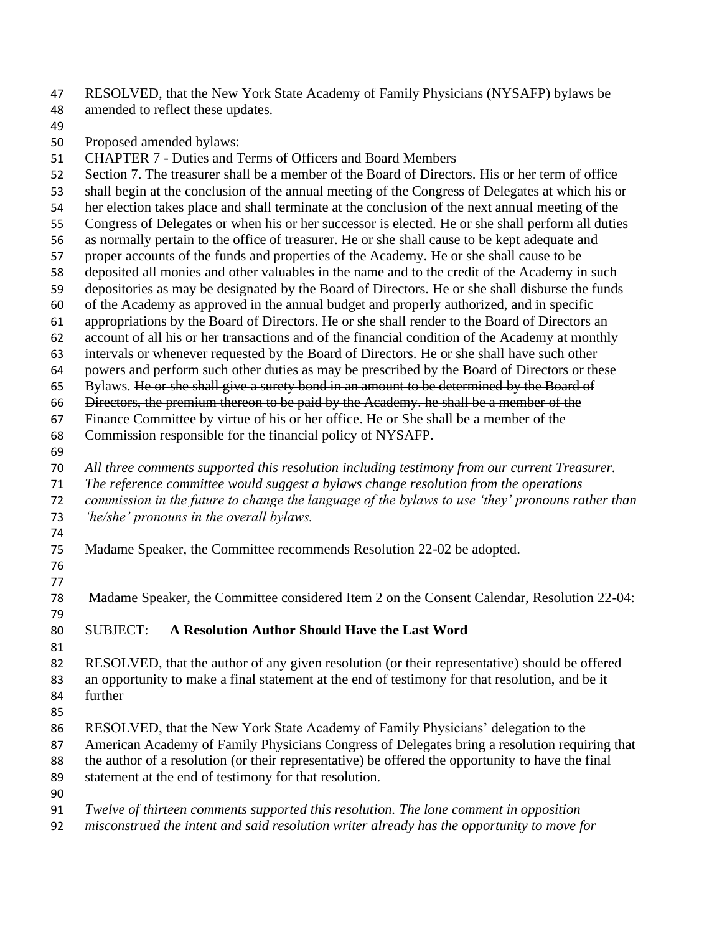- RESOLVED, that the New York State Academy of Family Physicians (NYSAFP) bylaws be
- amended to reflect these updates.
- 
- Proposed amended bylaws:
- CHAPTER 7 Duties and Terms of Officers and Board Members
- Section 7. The treasurer shall be a member of the Board of Directors. His or her term of office
- shall begin at the conclusion of the annual meeting of the Congress of Delegates at which his or
- her election takes place and shall terminate at the conclusion of the next annual meeting of the
- Congress of Delegates or when his or her successor is elected. He or she shall perform all duties as normally pertain to the office of treasurer. He or she shall cause to be kept adequate and
- proper accounts of the funds and properties of the Academy. He or she shall cause to be
- deposited all monies and other valuables in the name and to the credit of the Academy in such
- depositories as may be designated by the Board of Directors. He or she shall disburse the funds
- of the Academy as approved in the annual budget and properly authorized, and in specific
- appropriations by the Board of Directors. He or she shall render to the Board of Directors an
- account of all his or her transactions and of the financial condition of the Academy at monthly
- intervals or whenever requested by the Board of Directors. He or she shall have such other
- powers and perform such other duties as may be prescribed by the Board of Directors or these
- 65 Bylaws. He or she shall give a surety bond in an amount to be determined by the Board of
- Directors, the premium thereon to be paid by the Academy. he shall be a member of the
- Finance Committee by virtue of his or her office. He or She shall be a member of the
- Commission responsible for the financial policy of NYSAFP.
- 
- *All three comments supported this resolution including testimony from our current Treasurer.*
- *The reference committee would suggest a bylaws change resolution from the operations*
- *commission in the future to change the language of the bylaws to use 'they' pronouns rather than*
- *'he/she' pronouns in the overall bylaws.*
- Madame Speaker, the Committee recommends Resolution 22-02 be adopted.
- 
- Madame Speaker, the Committee considered Item 2 on the Consent Calendar, Resolution 22-04:
- SUBJECT: **A Resolution Author Should Have the Last Word**
- 
- RESOLVED, that the author of any given resolution (or their representative) should be offered an opportunity to make a final statement at the end of testimony for that resolution, and be it
- further
- 
- RESOLVED, that the New York State Academy of Family Physicians' delegation to the American Academy of Family Physicians Congress of Delegates bring a resolution requiring that
- the author of a resolution (or their representative) be offered the opportunity to have the final
	- statement at the end of testimony for that resolution.
	-
	- *Twelve of thirteen comments supported this resolution. The lone comment in opposition*
- *misconstrued the intent and said resolution writer already has the opportunity to move for*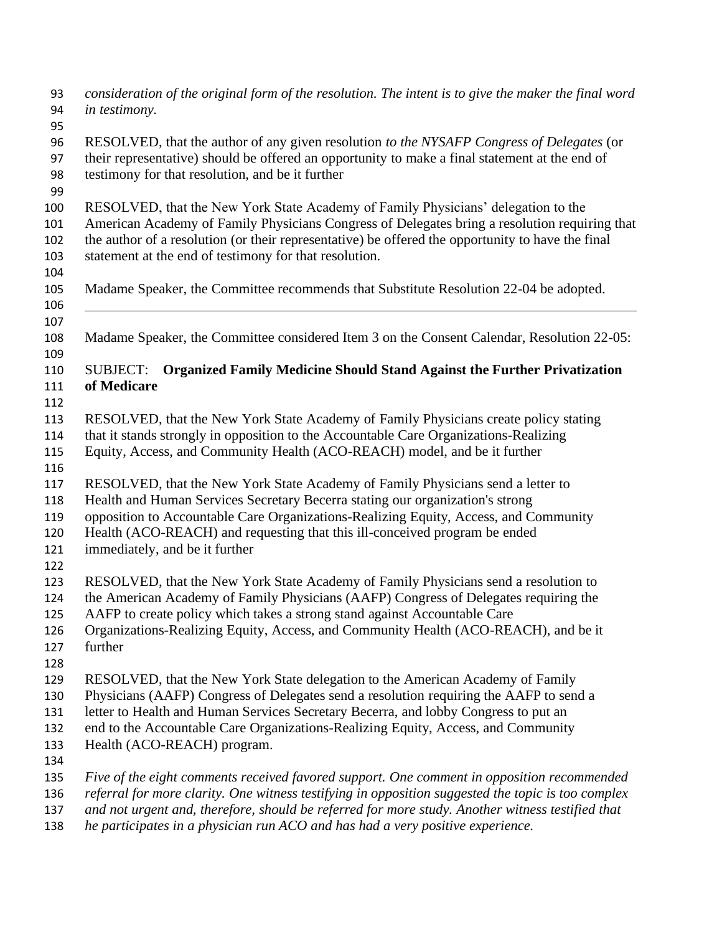| 93<br>94<br>95                         | consideration of the original form of the resolution. The intent is to give the maker the final word<br>in testimony.                                                                                                                                                                                                                                                                  |  |  |  |
|----------------------------------------|----------------------------------------------------------------------------------------------------------------------------------------------------------------------------------------------------------------------------------------------------------------------------------------------------------------------------------------------------------------------------------------|--|--|--|
| 96<br>97<br>98<br>99                   | RESOLVED, that the author of any given resolution to the NYSAFP Congress of Delegates (or<br>their representative) should be offered an opportunity to make a final statement at the end of<br>testimony for that resolution, and be it further                                                                                                                                        |  |  |  |
| 100<br>101<br>102<br>103<br>104        | RESOLVED, that the New York State Academy of Family Physicians' delegation to the<br>American Academy of Family Physicians Congress of Delegates bring a resolution requiring that<br>the author of a resolution (or their representative) be offered the opportunity to have the final<br>statement at the end of testimony for that resolution.                                      |  |  |  |
| 105<br>106                             | Madame Speaker, the Committee recommends that Substitute Resolution 22-04 be adopted.                                                                                                                                                                                                                                                                                                  |  |  |  |
| 107<br>108<br>109                      | Madame Speaker, the Committee considered Item 3 on the Consent Calendar, Resolution 22-05:                                                                                                                                                                                                                                                                                             |  |  |  |
| 110<br>111<br>112                      | <b>Organized Family Medicine Should Stand Against the Further Privatization</b><br><b>SUBJECT:</b><br>of Medicare                                                                                                                                                                                                                                                                      |  |  |  |
| 113<br>114<br>115<br>116               | RESOLVED, that the New York State Academy of Family Physicians create policy stating<br>that it stands strongly in opposition to the Accountable Care Organizations-Realizing<br>Equity, Access, and Community Health (ACO-REACH) model, and be it further                                                                                                                             |  |  |  |
| 117<br>118<br>119<br>120<br>121<br>122 | RESOLVED, that the New York State Academy of Family Physicians send a letter to<br>Health and Human Services Secretary Becerra stating our organization's strong<br>opposition to Accountable Care Organizations-Realizing Equity, Access, and Community<br>Health (ACO-REACH) and requesting that this ill-conceived program be ended<br>immediately, and be it further               |  |  |  |
| 123<br>124<br>125<br>126<br>127<br>128 | RESOLVED, that the New York State Academy of Family Physicians send a resolution to<br>the American Academy of Family Physicians (AAFP) Congress of Delegates requiring the<br>AAFP to create policy which takes a strong stand against Accountable Care<br>Organizations-Realizing Equity, Access, and Community Health (ACO-REACH), and be it<br>further                             |  |  |  |
| 129<br>130<br>131<br>132<br>133<br>134 | RESOLVED, that the New York State delegation to the American Academy of Family<br>Physicians (AAFP) Congress of Delegates send a resolution requiring the AAFP to send a<br>letter to Health and Human Services Secretary Becerra, and lobby Congress to put an<br>end to the Accountable Care Organizations-Realizing Equity, Access, and Community<br>Health (ACO-REACH) program.    |  |  |  |
| 135<br>136<br>137<br>138               | Five of the eight comments received favored support. One comment in opposition recommended<br>referral for more clarity. One witness testifying in opposition suggested the topic is too complex<br>and not urgent and, therefore, should be referred for more study. Another witness testified that<br>he participates in a physician run ACO and has had a very positive experience. |  |  |  |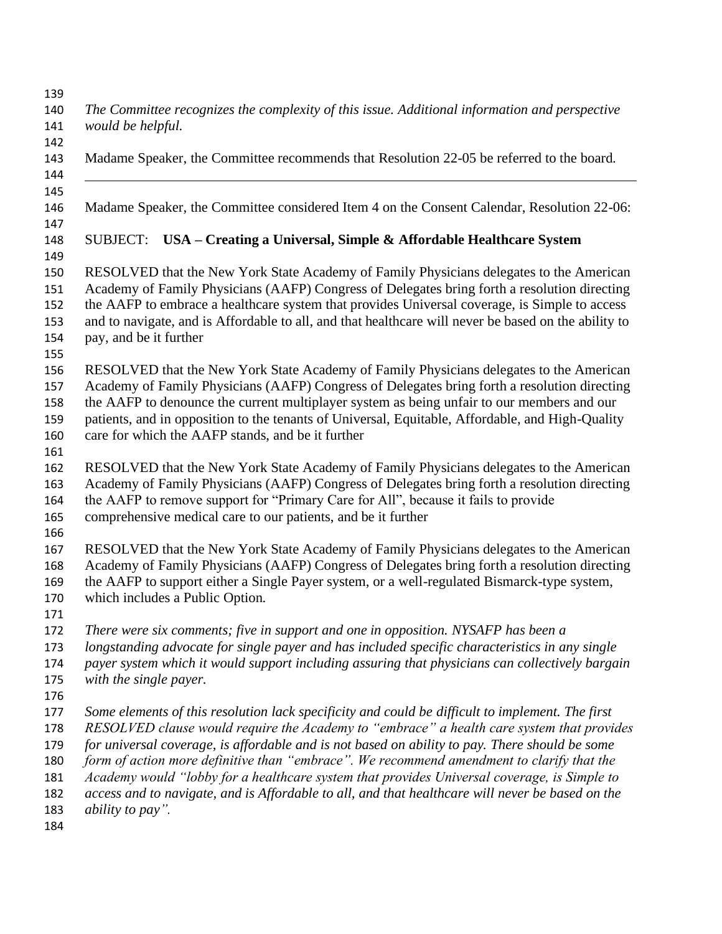| 139<br>140<br>141<br>142                             | The Committee recognizes the complexity of this issue. Additional information and perspective<br>would be helpful.                                                                                                                                                                                                                                                                                                                                                                                                                                                                                                         |
|------------------------------------------------------|----------------------------------------------------------------------------------------------------------------------------------------------------------------------------------------------------------------------------------------------------------------------------------------------------------------------------------------------------------------------------------------------------------------------------------------------------------------------------------------------------------------------------------------------------------------------------------------------------------------------------|
| 143<br>144                                           | Madame Speaker, the Committee recommends that Resolution 22-05 be referred to the board.                                                                                                                                                                                                                                                                                                                                                                                                                                                                                                                                   |
| 145<br>146<br>147                                    | Madame Speaker, the Committee considered Item 4 on the Consent Calendar, Resolution 22-06:                                                                                                                                                                                                                                                                                                                                                                                                                                                                                                                                 |
| 148<br>149                                           | SUBJECT: USA – Creating a Universal, Simple & Affordable Healthcare System                                                                                                                                                                                                                                                                                                                                                                                                                                                                                                                                                 |
| 150<br>151<br>152<br>153<br>154                      | RESOLVED that the New York State Academy of Family Physicians delegates to the American<br>Academy of Family Physicians (AAFP) Congress of Delegates bring forth a resolution directing<br>the AAFP to embrace a healthcare system that provides Universal coverage, is Simple to access<br>and to navigate, and is Affordable to all, and that healthcare will never be based on the ability to<br>pay, and be it further                                                                                                                                                                                                 |
| 155<br>156<br>157<br>158<br>159<br>160<br>161        | RESOLVED that the New York State Academy of Family Physicians delegates to the American<br>Academy of Family Physicians (AAFP) Congress of Delegates bring forth a resolution directing<br>the AAFP to denounce the current multiplayer system as being unfair to our members and our<br>patients, and in opposition to the tenants of Universal, Equitable, Affordable, and High-Quality<br>care for which the AAFP stands, and be it further                                                                                                                                                                             |
| 162<br>163<br>164<br>165<br>166                      | RESOLVED that the New York State Academy of Family Physicians delegates to the American<br>Academy of Family Physicians (AAFP) Congress of Delegates bring forth a resolution directing<br>the AAFP to remove support for "Primary Care for All", because it fails to provide<br>comprehensive medical care to our patients, and be it further                                                                                                                                                                                                                                                                             |
| 167<br>168<br>169<br>170<br>171                      | RESOLVED that the New York State Academy of Family Physicians delegates to the American<br>Academy of Family Physicians (AAFP) Congress of Delegates bring forth a resolution directing<br>the AAFP to support either a Single Payer system, or a well-regulated Bismarck-type system,<br>which includes a Public Option.                                                                                                                                                                                                                                                                                                  |
| 172<br>173<br>174<br>175<br>176                      | There were six comments; five in support and one in opposition. NYSAFP has been a<br>longstanding advocate for single payer and has included specific characteristics in any single<br>payer system which it would support including assuring that physicians can collectively bargain<br>with the single payer.                                                                                                                                                                                                                                                                                                           |
| 177<br>178<br>179<br>180<br>181<br>182<br>183<br>184 | Some elements of this resolution lack specificity and could be difficult to implement. The first<br>RESOLVED clause would require the Academy to "embrace" a health care system that provides<br>for universal coverage, is affordable and is not based on ability to pay. There should be some<br>form of action more definitive than "embrace". We recommend amendment to clarify that the<br>Academy would "lobby for a healthcare system that provides Universal coverage, is Simple to<br>access and to navigate, and is Affordable to all, and that healthcare will never be based on the<br><i>ability to pay".</i> |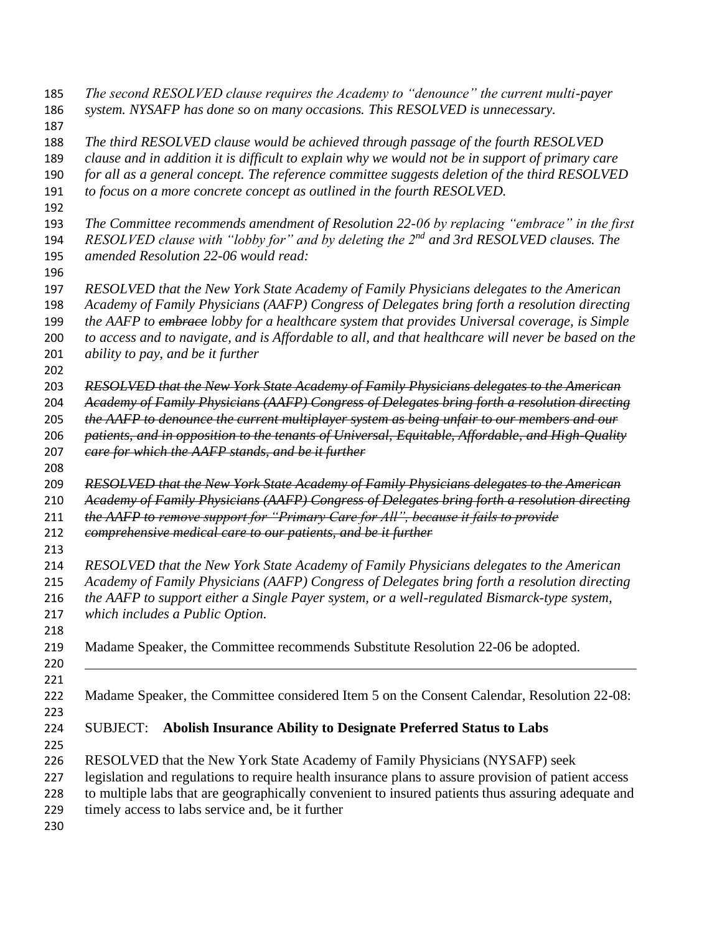*The second RESOLVED clause requires the Academy to "denounce" the current multi-payer system. NYSAFP has done so on many occasions. This RESOLVED is unnecessary. The third RESOLVED clause would be achieved through passage of the fourth RESOLVED clause and in addition it is difficult to explain why we would not be in support of primary care for all as a general concept. The reference committee suggests deletion of the third RESOLVED to focus on a more concrete concept as outlined in the fourth RESOLVED. The Committee recommends amendment of Resolution 22-06 by replacing "embrace" in the first RESOLVED clause with "lobby for" and by deleting the 2nd and 3rd RESOLVED clauses. The amended Resolution 22-06 would read: RESOLVED that the New York State Academy of Family Physicians delegates to the American Academy of Family Physicians (AAFP) Congress of Delegates bring forth a resolution directing the AAFP to embrace lobby for a healthcare system that provides Universal coverage, is Simple to access and to navigate, and is Affordable to all, and that healthcare will never be based on the ability to pay, and be it further RESOLVED that the New York State Academy of Family Physicians delegates to the American Academy of Family Physicians (AAFP) Congress of Delegates bring forth a resolution directing the AAFP to denounce the current multiplayer system as being unfair to our members and our patients, and in opposition to the tenants of Universal, Equitable, Affordable, and High-Quality care for which the AAFP stands, and be it further RESOLVED that the New York State Academy of Family Physicians delegates to the American Academy of Family Physicians (AAFP) Congress of Delegates bring forth a resolution directing the AAFP to remove support for "Primary Care for All", because it fails to provide comprehensive medical care to our patients, and be it further RESOLVED that the New York State Academy of Family Physicians delegates to the American Academy of Family Physicians (AAFP) Congress of Delegates bring forth a resolution directing the AAFP to support either a Single Payer system, or a well-regulated Bismarck-type system, which includes a Public Option.* Madame Speaker, the Committee recommends Substitute Resolution 22-06 be adopted. 222 Madame Speaker, the Committee considered Item 5 on the Consent Calendar, Resolution 22-08: SUBJECT: **Abolish Insurance Ability to Designate Preferred Status to Labs** RESOLVED that the New York State Academy of Family Physicians (NYSAFP) seek legislation and regulations to require health insurance plans to assure provision of patient access to multiple labs that are geographically convenient to insured patients thus assuring adequate and timely access to labs service and, be it further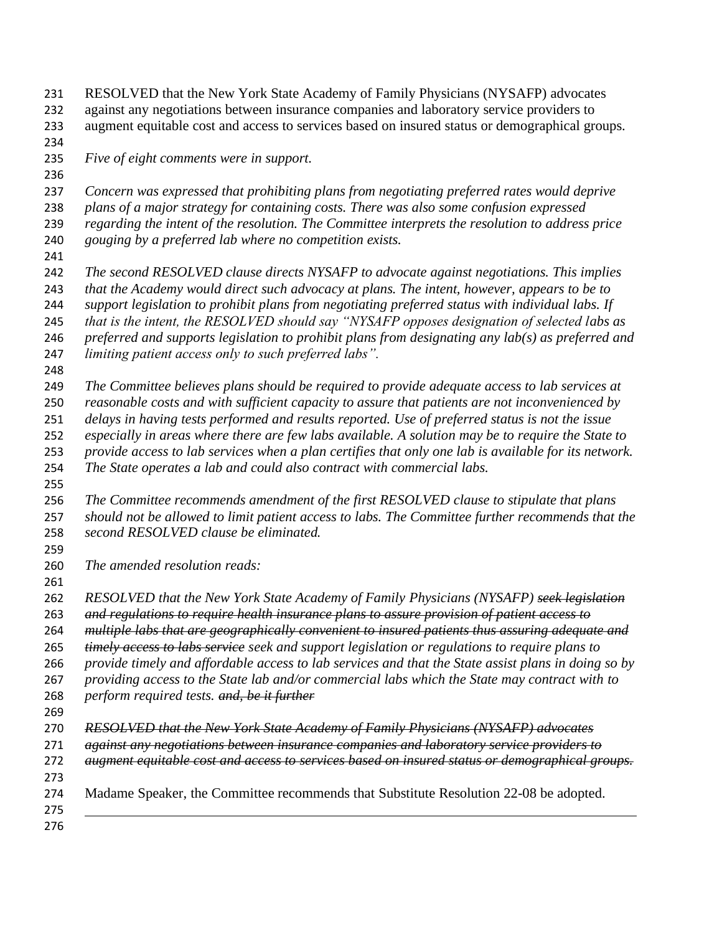RESOLVED that the New York State Academy of Family Physicians (NYSAFP) advocates against any negotiations between insurance companies and laboratory service providers to augment equitable cost and access to services based on insured status or demographical groups. *Five of eight comments were in support. Concern was expressed that prohibiting plans from negotiating preferred rates would deprive plans of a major strategy for containing costs. There was also some confusion expressed regarding the intent of the resolution. The Committee interprets the resolution to address price gouging by a preferred lab where no competition exists. The second RESOLVED clause directs NYSAFP to advocate against negotiations. This implies that the Academy would direct such advocacy at plans. The intent, however, appears to be to support legislation to prohibit plans from negotiating preferred status with individual labs. If that is the intent, the RESOLVED should say "NYSAFP opposes designation of selected labs as preferred and supports legislation to prohibit plans from designating any lab(s) as preferred and limiting patient access only to such preferred labs". The Committee believes plans should be required to provide adequate access to lab services at reasonable costs and with sufficient capacity to assure that patients are not inconvenienced by delays in having tests performed and results reported. Use of preferred status is not the issue especially in areas where there are few labs available. A solution may be to require the State to provide access to lab services when a plan certifies that only one lab is available for its network. The State operates a lab and could also contract with commercial labs. The Committee recommends amendment of the first RESOLVED clause to stipulate that plans should not be allowed to limit patient access to labs. The Committee further recommends that the second RESOLVED clause be eliminated. The amended resolution reads: RESOLVED that the New York State Academy of Family Physicians (NYSAFP) seek legislation and regulations to require health insurance plans to assure provision of patient access to multiple labs that are geographically convenient to insured patients thus assuring adequate and timely access to labs service seek and support legislation or regulations to require plans to provide timely and affordable access to lab services and that the State assist plans in doing so by providing access to the State lab and/or commercial labs which the State may contract with to perform required tests. and, be it further RESOLVED that the New York State Academy of Family Physicians (NYSAFP) advocates against any negotiations between insurance companies and laboratory service providers to augment equitable cost and access to services based on insured status or demographical groups.* Madame Speaker, the Committee recommends that Substitute Resolution 22-08 be adopted.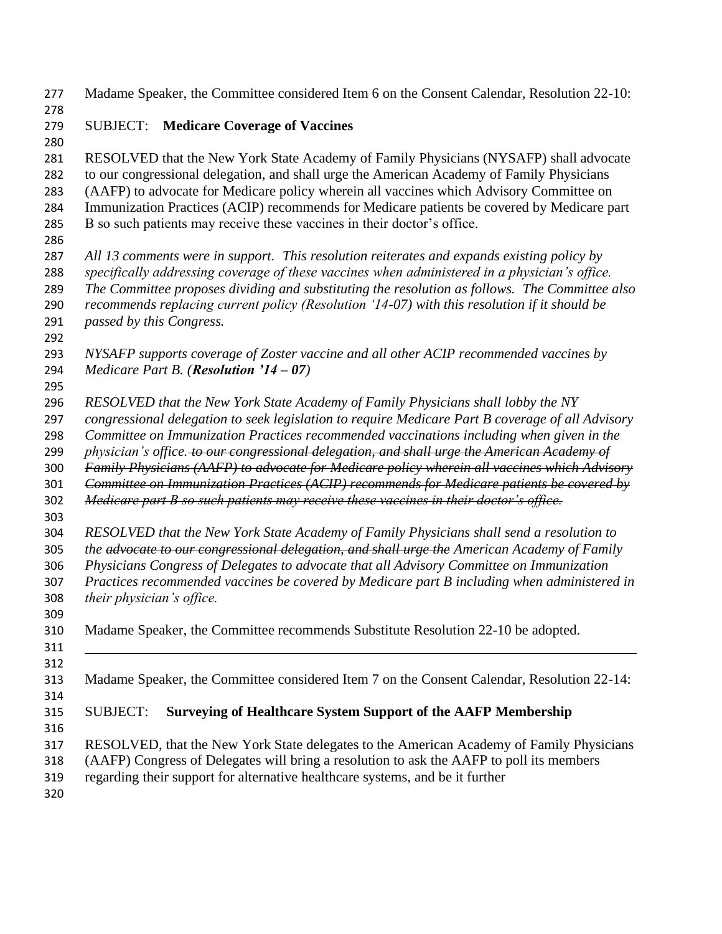- Madame Speaker, the Committee considered Item 6 on the Consent Calendar, Resolution 22-10:
- 

## SUBJECT: **Medicare Coverage of Vaccines**

 RESOLVED that the New York State Academy of Family Physicians (NYSAFP) shall advocate to our congressional delegation, and shall urge the American Academy of Family Physicians (AAFP) to advocate for Medicare policy wherein all vaccines which Advisory Committee on Immunization Practices (ACIP) recommends for Medicare patients be covered by Medicare part B so such patients may receive these vaccines in their doctor's office.

 *All 13 comments were in support. This resolution reiterates and expands existing policy by specifically addressing coverage of these vaccines when administered in a physician's office. The Committee proposes dividing and substituting the resolution as follows. The Committee also recommends replacing current policy (Resolution '14-07) with this resolution if it should be* 

*passed by this Congress.* 

 *NYSAFP supports coverage of Zoster vaccine and all other ACIP recommended vaccines by Medicare Part B. (Resolution '14 – 07)*

*RESOLVED that the New York State Academy of Family Physicians shall lobby the NY* 

*congressional delegation to seek legislation to require Medicare Part B coverage of all Advisory* 

*Committee on Immunization Practices recommended vaccinations including when given in the* 

*physician's office. to our congressional delegation, and shall urge the American Academy of* 

*Family Physicians (AAFP) to advocate for Medicare policy wherein all vaccines which Advisory* 

*Committee on Immunization Practices (ACIP) recommends for Medicare patients be covered by* 

*Medicare part B so such patients may receive these vaccines in their doctor's office.*

 *RESOLVED that the New York State Academy of Family Physicians shall send a resolution to the advocate to our congressional delegation, and shall urge the American Academy of Family* 

*Physicians Congress of Delegates to advocate that all Advisory Committee on Immunization* 

 *Practices recommended vaccines be covered by Medicare part B including when administered in their physician's office.*

Madame Speaker, the Committee recommends Substitute Resolution 22-10 be adopted.

 

Madame Speaker, the Committee considered Item 7 on the Consent Calendar, Resolution 22-14:

## SUBJECT: **Surveying of Healthcare System Support of the AAFP Membership**

RESOLVED, that the New York State delegates to the American Academy of Family Physicians

(AAFP) Congress of Delegates will bring a resolution to ask the AAFP to poll its members

regarding their support for alternative healthcare systems, and be it further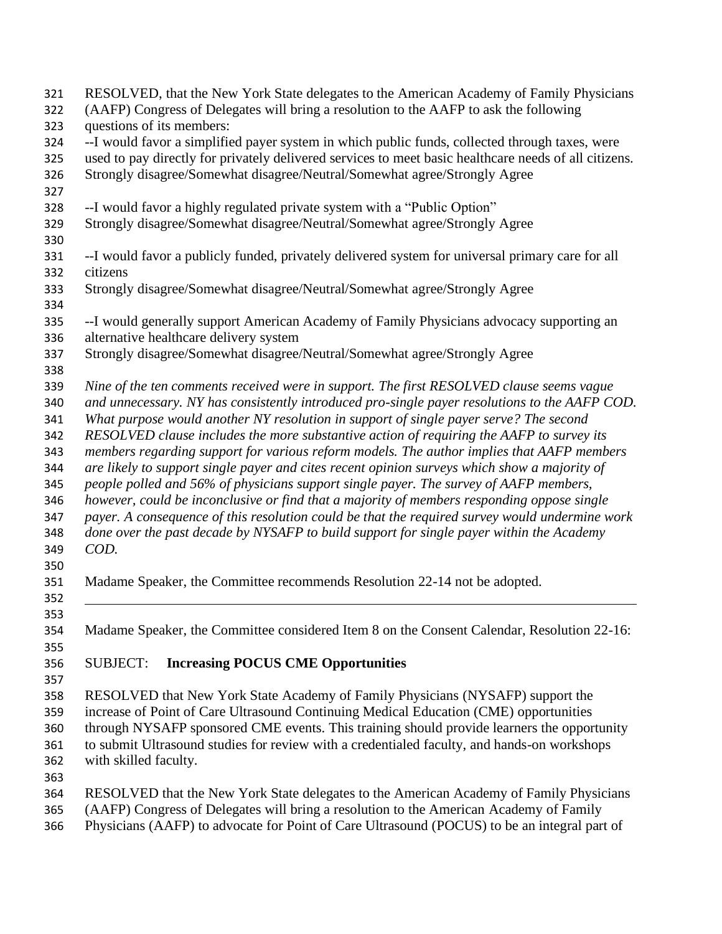RESOLVED, that the New York State delegates to the American Academy of Family Physicians (AAFP) Congress of Delegates will bring a resolution to the AAFP to ask the following questions of its members: --I would favor a simplified payer system in which public funds, collected through taxes, were used to pay directly for privately delivered services to meet basic healthcare needs of all citizens. Strongly disagree/Somewhat disagree/Neutral/Somewhat agree/Strongly Agree --I would favor a highly regulated private system with a "Public Option" Strongly disagree/Somewhat disagree/Neutral/Somewhat agree/Strongly Agree --I would favor a publicly funded, privately delivered system for universal primary care for all citizens Strongly disagree/Somewhat disagree/Neutral/Somewhat agree/Strongly Agree --I would generally support American Academy of Family Physicians advocacy supporting an alternative healthcare delivery system Strongly disagree/Somewhat disagree/Neutral/Somewhat agree/Strongly Agree *Nine of the ten comments received were in support. The first RESOLVED clause seems vague and unnecessary. NY has consistently introduced pro-single payer resolutions to the AAFP COD. What purpose would another NY resolution in support of single payer serve? The second RESOLVED clause includes the more substantive action of requiring the AAFP to survey its members regarding support for various reform models. The author implies that AAFP members are likely to support single payer and cites recent opinion surveys which show a majority of people polled and 56% of physicians support single payer. The survey of AAFP members, however, could be inconclusive or find that a majority of members responding oppose single payer. A consequence of this resolution could be that the required survey would undermine work done over the past decade by NYSAFP to build support for single payer within the Academy COD.*  Madame Speaker, the Committee recommends Resolution 22-14 not be adopted. Madame Speaker, the Committee considered Item 8 on the Consent Calendar, Resolution 22-16: SUBJECT: **Increasing POCUS CME Opportunities** RESOLVED that New York State Academy of Family Physicians (NYSAFP) support the increase of Point of Care Ultrasound Continuing Medical Education (CME) opportunities through NYSAFP sponsored CME events. This training should provide learners the opportunity to submit Ultrasound studies for review with a credentialed faculty, and hands-on workshops with skilled faculty. RESOLVED that the New York State delegates to the American Academy of Family Physicians (AAFP) Congress of Delegates will bring a resolution to the American Academy of Family Physicians (AAFP) to advocate for Point of Care Ultrasound (POCUS) to be an integral part of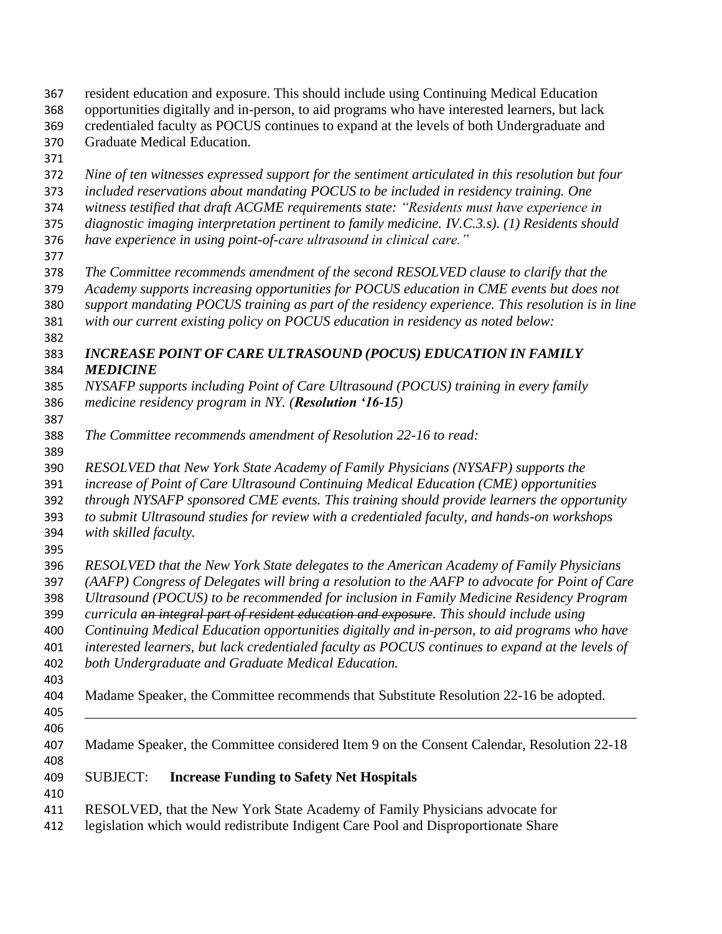| 367<br>368 | resident education and exposure. This should include using Continuing Medical Education<br>opportunities digitally and in-person, to aid programs who have interested learners, but lack |  |  |  |
|------------|------------------------------------------------------------------------------------------------------------------------------------------------------------------------------------------|--|--|--|
| 369        | credentialed faculty as POCUS continues to expand at the levels of both Undergraduate and                                                                                                |  |  |  |
| 370        | Graduate Medical Education.                                                                                                                                                              |  |  |  |
| 371        |                                                                                                                                                                                          |  |  |  |
| 372<br>373 | Nine of ten witnesses expressed support for the sentiment articulated in this resolution but four                                                                                        |  |  |  |
| 374        | included reservations about mandating POCUS to be included in residency training. One<br>witness testified that draft ACGME requirements state: "Residents must have experience in       |  |  |  |
| 375        | diagnostic imaging interpretation pertinent to family medicine. IV.C.3.s). (1) Residents should                                                                                          |  |  |  |
| 376        | have experience in using point-of-care ultrasound in clinical care."                                                                                                                     |  |  |  |
| 377        |                                                                                                                                                                                          |  |  |  |
| 378        | The Committee recommends amendment of the second RESOLVED clause to clarify that the                                                                                                     |  |  |  |
| 379        | Academy supports increasing opportunities for POCUS education in CME events but does not                                                                                                 |  |  |  |
| 380        | support mandating POCUS training as part of the residency experience. This resolution is in line                                                                                         |  |  |  |
| 381        | with our current existing policy on POCUS education in residency as noted below:                                                                                                         |  |  |  |
| 382        |                                                                                                                                                                                          |  |  |  |
| 383        | <b>INCREASE POINT OF CARE ULTRASOUND (POCUS) EDUCATION IN FAMILY</b>                                                                                                                     |  |  |  |
| 384        | <b>MEDICINE</b>                                                                                                                                                                          |  |  |  |
| 385        | NYSAFP supports including Point of Care Ultrasound (POCUS) training in every family                                                                                                      |  |  |  |
| 386        | medicine residency program in NY. (Resolution '16-15)                                                                                                                                    |  |  |  |
| 387        |                                                                                                                                                                                          |  |  |  |
| 388        | The Committee recommends amendment of Resolution 22-16 to read:                                                                                                                          |  |  |  |
| 389        |                                                                                                                                                                                          |  |  |  |
| 390        | RESOLVED that New York State Academy of Family Physicians (NYSAFP) supports the                                                                                                          |  |  |  |
| 391        | increase of Point of Care Ultrasound Continuing Medical Education (CME) opportunities                                                                                                    |  |  |  |
| 392        | through NYSAFP sponsored CME events. This training should provide learners the opportunity                                                                                               |  |  |  |
| 393        | to submit Ultrasound studies for review with a credentialed faculty, and hands-on workshops                                                                                              |  |  |  |
| 394        | with skilled faculty.                                                                                                                                                                    |  |  |  |
| 395        |                                                                                                                                                                                          |  |  |  |
| 396        | RESOLVED that the New York State delegates to the American Academy of Family Physicians                                                                                                  |  |  |  |
| 397        | (AAFP) Congress of Delegates will bring a resolution to the AAFP to advocate for Point of Care                                                                                           |  |  |  |
| 398        | Ultrasound (POCUS) to be recommended for inclusion in Family Medicine Residency Program                                                                                                  |  |  |  |
| 399        | curricula an integral part of resident education and exposure. This should include using                                                                                                 |  |  |  |
| 400        | Continuing Medical Education opportunities digitally and in-person, to aid programs who have                                                                                             |  |  |  |
| 401        | interested learners, but lack credentialed faculty as POCUS continues to expand at the levels of                                                                                         |  |  |  |
| 402        | both Undergraduate and Graduate Medical Education.                                                                                                                                       |  |  |  |
| 403        |                                                                                                                                                                                          |  |  |  |
| 404        | Madame Speaker, the Committee recommends that Substitute Resolution 22-16 be adopted.                                                                                                    |  |  |  |
| 405        |                                                                                                                                                                                          |  |  |  |
| 406        |                                                                                                                                                                                          |  |  |  |
| 407        | Madame Speaker, the Committee considered Item 9 on the Consent Calendar, Resolution 22-18                                                                                                |  |  |  |
| 408        |                                                                                                                                                                                          |  |  |  |
| 409        | <b>Increase Funding to Safety Net Hospitals</b><br><b>SUBJECT:</b>                                                                                                                       |  |  |  |
| 410        |                                                                                                                                                                                          |  |  |  |
| 411<br>412 | RESOLVED, that the New York State Academy of Family Physicians advocate for<br>legislation which would redistribute Indigent Care Pool and Disproportionate Share                        |  |  |  |
|            |                                                                                                                                                                                          |  |  |  |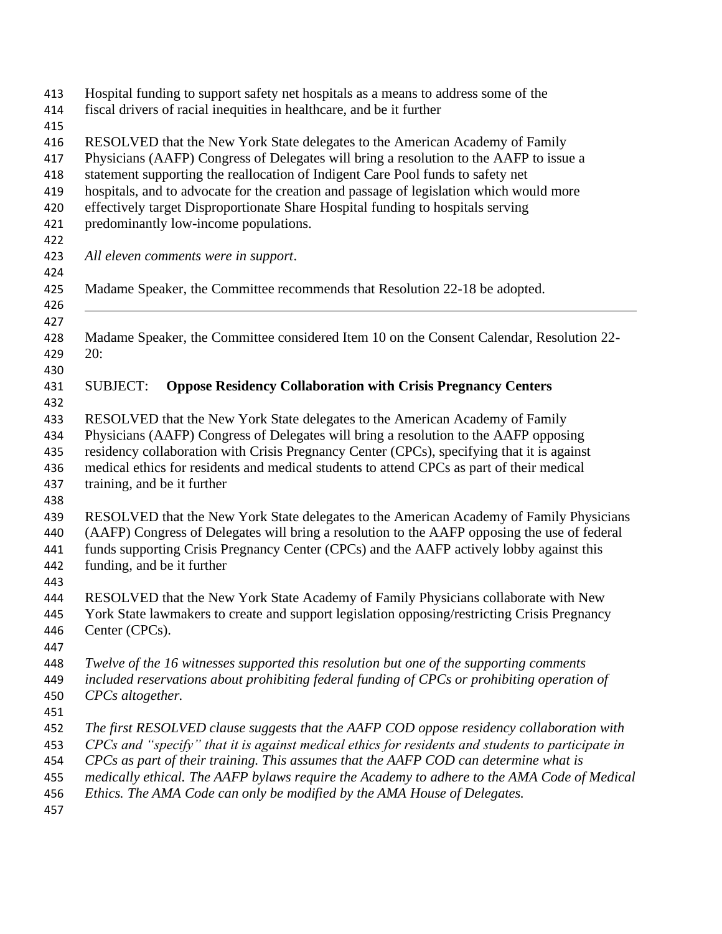| 413<br>414                                           | Hospital funding to support safety net hospitals as a means to address some of the<br>fiscal drivers of racial inequities in healthcare, and be it further                                                                                                                                                                                                                                                                                                                       |  |  |  |  |
|------------------------------------------------------|----------------------------------------------------------------------------------------------------------------------------------------------------------------------------------------------------------------------------------------------------------------------------------------------------------------------------------------------------------------------------------------------------------------------------------------------------------------------------------|--|--|--|--|
| 415<br>416<br>417<br>418<br>419<br>420<br>421<br>422 | RESOLVED that the New York State delegates to the American Academy of Family<br>Physicians (AAFP) Congress of Delegates will bring a resolution to the AAFP to issue a<br>statement supporting the reallocation of Indigent Care Pool funds to safety net<br>hospitals, and to advocate for the creation and passage of legislation which would more<br>effectively target Disproportionate Share Hospital funding to hospitals serving<br>predominantly low-income populations. |  |  |  |  |
| 423<br>424                                           | All eleven comments were in support.                                                                                                                                                                                                                                                                                                                                                                                                                                             |  |  |  |  |
| 425<br>426                                           | Madame Speaker, the Committee recommends that Resolution 22-18 be adopted.                                                                                                                                                                                                                                                                                                                                                                                                       |  |  |  |  |
| 427<br>428<br>429<br>430                             | Madame Speaker, the Committee considered Item 10 on the Consent Calendar, Resolution 22-<br>20:                                                                                                                                                                                                                                                                                                                                                                                  |  |  |  |  |
| 431<br>432                                           | <b>Oppose Residency Collaboration with Crisis Pregnancy Centers</b><br><b>SUBJECT:</b>                                                                                                                                                                                                                                                                                                                                                                                           |  |  |  |  |
| 433<br>434<br>435<br>436<br>437<br>438               | RESOLVED that the New York State delegates to the American Academy of Family<br>Physicians (AAFP) Congress of Delegates will bring a resolution to the AAFP opposing<br>residency collaboration with Crisis Pregnancy Center (CPCs), specifying that it is against<br>medical ethics for residents and medical students to attend CPCs as part of their medical<br>training, and be it further                                                                                   |  |  |  |  |
| 439<br>440<br>441<br>442<br>443                      | RESOLVED that the New York State delegates to the American Academy of Family Physicians<br>(AAFP) Congress of Delegates will bring a resolution to the AAFP opposing the use of federal<br>funds supporting Crisis Pregnancy Center (CPCs) and the AAFP actively lobby against this<br>funding, and be it further                                                                                                                                                                |  |  |  |  |
| 444<br>445<br>446<br>447                             | RESOLVED that the New York State Academy of Family Physicians collaborate with New<br>York State lawmakers to create and support legislation opposing/restricting Crisis Pregnancy<br>Center (CPCs).                                                                                                                                                                                                                                                                             |  |  |  |  |
| 448<br>449<br>450<br>451                             | Twelve of the 16 witnesses supported this resolution but one of the supporting comments<br>included reservations about prohibiting federal funding of CPCs or prohibiting operation of<br>CPCs altogether.                                                                                                                                                                                                                                                                       |  |  |  |  |
| 452<br>453<br>454<br>455<br>456<br>457               | The first RESOLVED clause suggests that the AAFP COD oppose residency collaboration with<br>CPCs and "specify" that it is against medical ethics for residents and students to participate in<br>CPCs as part of their training. This assumes that the AAFP COD can determine what is<br>medically ethical. The AAFP bylaws require the Academy to adhere to the AMA Code of Medical<br>Ethics. The AMA Code can only be modified by the AMA House of Delegates.                 |  |  |  |  |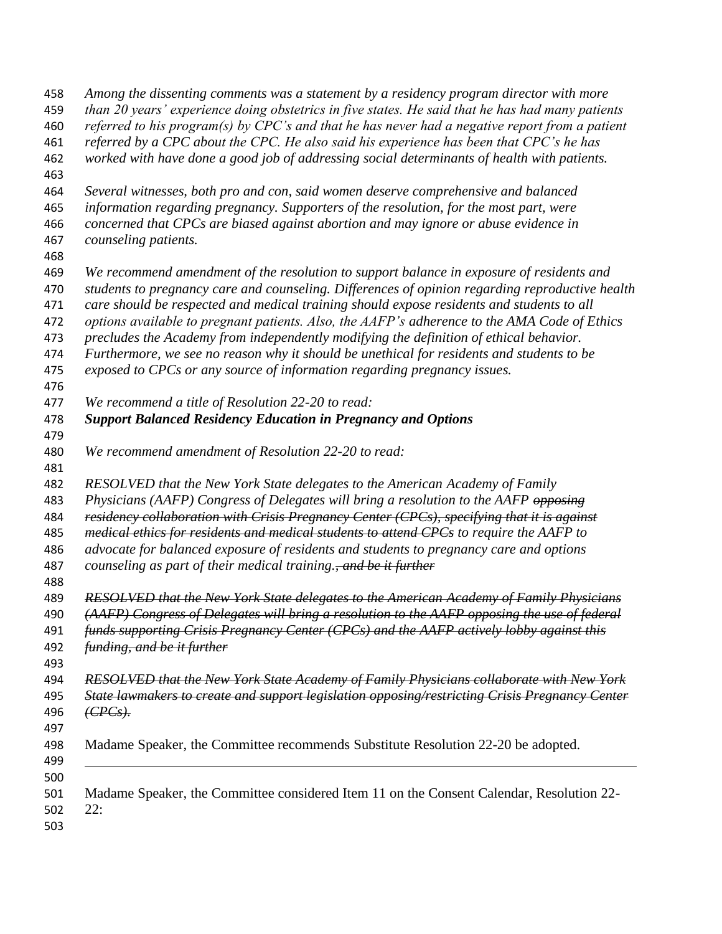*Among the dissenting comments was a statement by a residency program director with more than 20 years' experience doing obstetrics in five states. He said that he has had many patients referred to his program(s) by CPC's and that he has never had a negative report from a patient referred by a CPC about the CPC. He also said his experience has been that CPC's he has worked with have done a good job of addressing social determinants of health with patients. Several witnesses, both pro and con, said women deserve comprehensive and balanced information regarding pregnancy. Supporters of the resolution, for the most part, were concerned that CPCs are biased against abortion and may ignore or abuse evidence in counseling patients. We recommend amendment of the resolution to support balance in exposure of residents and students to pregnancy care and counseling. Differences of opinion regarding reproductive health care should be respected and medical training should expose residents and students to all options available to pregnant patients. Also, the AAFP's adherence to the AMA Code of Ethics precludes the Academy from independently modifying the definition of ethical behavior. Furthermore, we see no reason why it should be unethical for residents and students to be exposed to CPCs or any source of information regarding pregnancy issues. We recommend a title of Resolution 22-20 to read: Support Balanced Residency Education in Pregnancy and Options We recommend amendment of Resolution 22-20 to read: RESOLVED that the New York State delegates to the American Academy of Family Physicians (AAFP) Congress of Delegates will bring a resolution to the AAFP opposing residency collaboration with Crisis Pregnancy Center (CPCs), specifying that it is against medical ethics for residents and medical students to attend CPCs to require the AAFP to advocate for balanced exposure of residents and students to pregnancy care and options counseling as part of their medical training., and be it further RESOLVED that the New York State delegates to the American Academy of Family Physicians (AAFP) Congress of Delegates will bring a resolution to the AAFP opposing the use of federal funds supporting Crisis Pregnancy Center (CPCs) and the AAFP actively lobby against this funding, and be it further RESOLVED that the New York State Academy of Family Physicians collaborate with New York State lawmakers to create and support legislation opposing/restricting Crisis Pregnancy Center (CPCs).* Madame Speaker, the Committee recommends Substitute Resolution 22-20 be adopted. Madame Speaker, the Committee considered Item 11 on the Consent Calendar, Resolution 22- 22: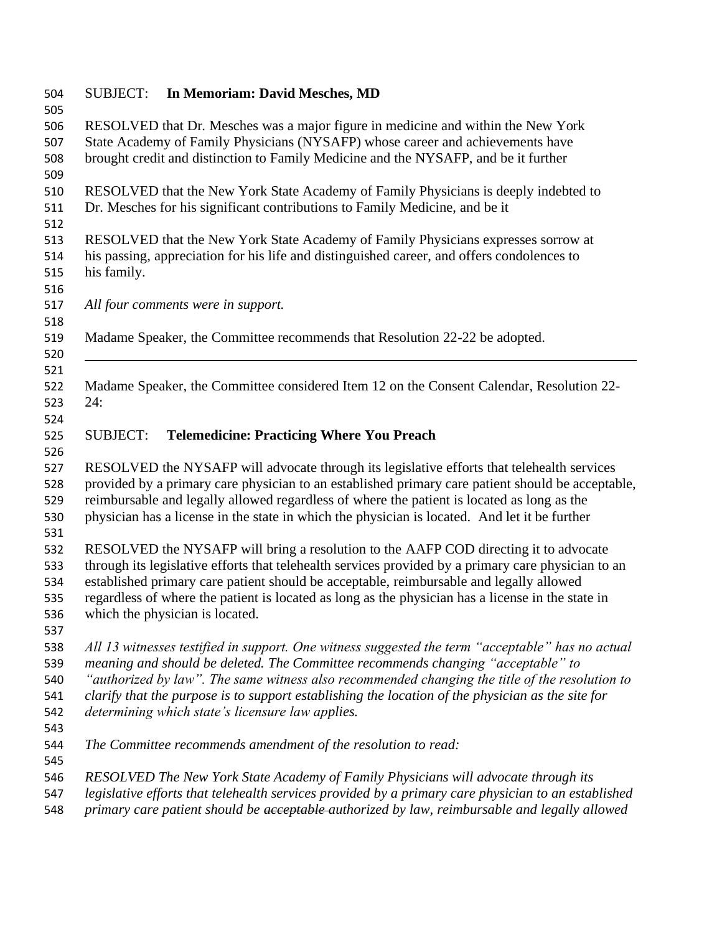| 504        | <b>SUBJECT:</b>                                                                                                                                                                           | In Memoriam: David Mesches, MD                                                                      |  |  |  |  |  |  |
|------------|-------------------------------------------------------------------------------------------------------------------------------------------------------------------------------------------|-----------------------------------------------------------------------------------------------------|--|--|--|--|--|--|
| 505        |                                                                                                                                                                                           |                                                                                                     |  |  |  |  |  |  |
| 506        | RESOLVED that Dr. Mesches was a major figure in medicine and within the New York                                                                                                          |                                                                                                     |  |  |  |  |  |  |
| 507        |                                                                                                                                                                                           | State Academy of Family Physicians (NYSAFP) whose career and achievements have                      |  |  |  |  |  |  |
| 508<br>509 | brought credit and distinction to Family Medicine and the NYSAFP, and be it further                                                                                                       |                                                                                                     |  |  |  |  |  |  |
| 510        |                                                                                                                                                                                           | RESOLVED that the New York State Academy of Family Physicians is deeply indebted to                 |  |  |  |  |  |  |
| 511        |                                                                                                                                                                                           | Dr. Mesches for his significant contributions to Family Medicine, and be it                         |  |  |  |  |  |  |
| 512        |                                                                                                                                                                                           |                                                                                                     |  |  |  |  |  |  |
| 513        |                                                                                                                                                                                           | RESOLVED that the New York State Academy of Family Physicians expresses sorrow at                   |  |  |  |  |  |  |
| 514        | his passing, appreciation for his life and distinguished career, and offers condolences to                                                                                                |                                                                                                     |  |  |  |  |  |  |
| 515        | his family.                                                                                                                                                                               |                                                                                                     |  |  |  |  |  |  |
| 516        |                                                                                                                                                                                           |                                                                                                     |  |  |  |  |  |  |
| 517        |                                                                                                                                                                                           | All four comments were in support.                                                                  |  |  |  |  |  |  |
| 518        |                                                                                                                                                                                           |                                                                                                     |  |  |  |  |  |  |
| 519        |                                                                                                                                                                                           | Madame Speaker, the Committee recommends that Resolution 22-22 be adopted.                          |  |  |  |  |  |  |
| 520        |                                                                                                                                                                                           |                                                                                                     |  |  |  |  |  |  |
| 521        |                                                                                                                                                                                           |                                                                                                     |  |  |  |  |  |  |
| 522<br>523 | 24:                                                                                                                                                                                       | Madame Speaker, the Committee considered Item 12 on the Consent Calendar, Resolution 22-            |  |  |  |  |  |  |
| 524        |                                                                                                                                                                                           |                                                                                                     |  |  |  |  |  |  |
| 525<br>526 | <b>SUBJECT:</b>                                                                                                                                                                           | <b>Telemedicine: Practicing Where You Preach</b>                                                    |  |  |  |  |  |  |
| 527        |                                                                                                                                                                                           | RESOLVED the NYSAFP will advocate through its legislative efforts that telehealth services          |  |  |  |  |  |  |
| 528        |                                                                                                                                                                                           | provided by a primary care physician to an established primary care patient should be acceptable,   |  |  |  |  |  |  |
| 529        | reimbursable and legally allowed regardless of where the patient is located as long as the                                                                                                |                                                                                                     |  |  |  |  |  |  |
| 530        |                                                                                                                                                                                           | physician has a license in the state in which the physician is located. And let it be further       |  |  |  |  |  |  |
| 531        |                                                                                                                                                                                           |                                                                                                     |  |  |  |  |  |  |
| 532        |                                                                                                                                                                                           | RESOLVED the NYSAFP will bring a resolution to the AAFP COD directing it to advocate                |  |  |  |  |  |  |
| 533        |                                                                                                                                                                                           | through its legislative efforts that telehealth services provided by a primary care physician to an |  |  |  |  |  |  |
| 534        |                                                                                                                                                                                           | established primary care patient should be acceptable, reimbursable and legally allowed             |  |  |  |  |  |  |
| 535        |                                                                                                                                                                                           | regardless of where the patient is located as long as the physician has a license in the state in   |  |  |  |  |  |  |
| 536        |                                                                                                                                                                                           | which the physician is located.                                                                     |  |  |  |  |  |  |
| 537        |                                                                                                                                                                                           |                                                                                                     |  |  |  |  |  |  |
| 538        |                                                                                                                                                                                           | All 13 witnesses testified in support. One witness suggested the term "acceptable" has no actual    |  |  |  |  |  |  |
| 539        |                                                                                                                                                                                           | meaning and should be deleted. The Committee recommends changing "acceptable" to                    |  |  |  |  |  |  |
| 540        | "authorized by law". The same witness also recommended changing the title of the resolution to                                                                                            |                                                                                                     |  |  |  |  |  |  |
| 541        |                                                                                                                                                                                           | clarify that the purpose is to support establishing the location of the physician as the site for   |  |  |  |  |  |  |
| 542        |                                                                                                                                                                                           | determining which state's licensure law applies.                                                    |  |  |  |  |  |  |
| 543        |                                                                                                                                                                                           |                                                                                                     |  |  |  |  |  |  |
| 544        |                                                                                                                                                                                           | The Committee recommends amendment of the resolution to read:                                       |  |  |  |  |  |  |
| 545<br>546 |                                                                                                                                                                                           |                                                                                                     |  |  |  |  |  |  |
| 547        | RESOLVED The New York State Academy of Family Physicians will advocate through its<br>legislative efforts that telehealth services provided by a primary care physician to an established |                                                                                                     |  |  |  |  |  |  |
| 548        | primary care patient should be acceptable authorized by law, reimbursable and legally allowed                                                                                             |                                                                                                     |  |  |  |  |  |  |